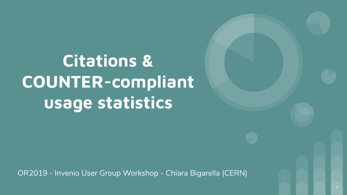**Citations & COUNTER-compliant usage statistics**

OR2019 - Invenio User Group Workshop - Chiara Bigarella (CERN)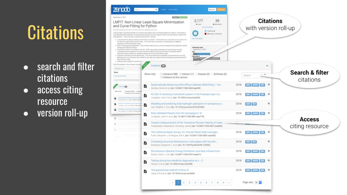## **Citations**

- search and filter citations
- access citing resource
- version roll-up

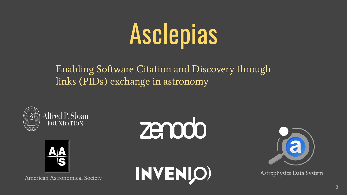## Asclepias

Enabling Software Citation and Discovery through links (PIDs) exchange in astronomy





American Astronomical Society







Astrophysics Data System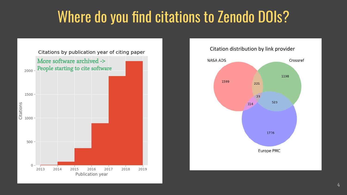### Where do you find citations to Zenodo DOIs?



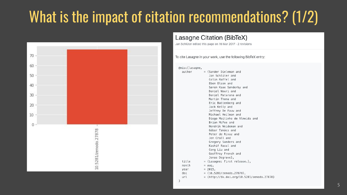### What is the impact of citation recommendations? (1/2)



#### Lasagne Citation (BibTeX)

Jan Schlüter edited this page on 16 Mar 2017 · 2 revisions

To cite Lasagne in your work, use the following BibTeX entry:

@misc{lasagne. autho

> year doi url

| author | $=$ {Sander Dieleman and      |
|--------|-------------------------------|
|        | Jan Schlüter and              |
|        | Colin Raffel and              |
|        | Eben Olson and                |
|        | Søren Kaae Sønderby and       |
|        | Daniel Nouri and              |
|        | Daniel Maturana and           |
|        | Martin Thoma and              |
|        | Eric Battenberg and           |
|        | Jack Kelly and                |
|        | Jeffrey De Fauw and           |
|        | Michael Heilman and           |
|        | Diogo Moitinho de Almeida and |
|        | Brian McFee and               |
|        | Hendrik Weideman and          |
|        | Gábor Takács and              |
|        | Peter de Rivaz and            |
|        | Jon Crall and                 |
|        | Gregory Sanders and           |
|        | Kashif Rasul and              |
|        | Cong Liu and                  |
|        | Geoffrey French and           |
|        | Jonas Degrave},               |
| title  | = {Lasagne: First release.},  |
| month  | $=$ aug,                      |
| vear   | $= 2015$ ,                    |
| doi    | $= \{10.5281/z$ enodo.27878}, |
|        |                               |

= {http://dx.doi.org/10.5281/zenodo.27878}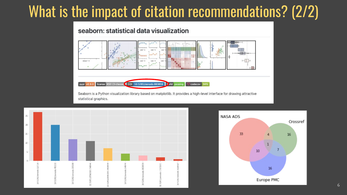### What is the impact of citation recommendations? (2/2)

#### seaborn: statistical data visualization



statistical graphics.



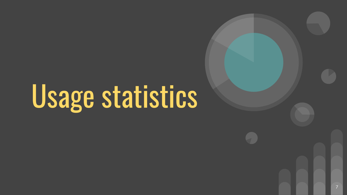## Usage statistics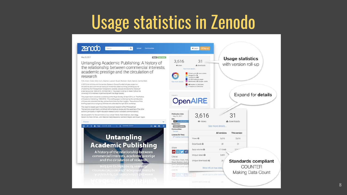## Usage statistics in Zenodo

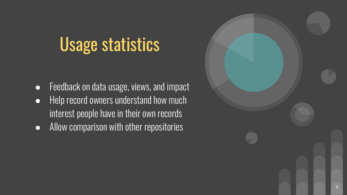## Usage statistics

- **•** Feedback on data usage, views, and impact
- Help record owners understand how much interest people have in their own records
- Allow comparison with other repositories

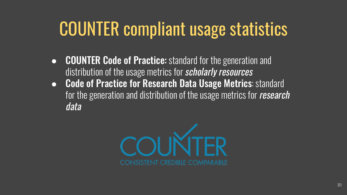## COUNTER compliant usage statistics

- COUNTER Code of Practice: standard for the generation and distribution of the usage metrics for **scholarly resources**
- Code of Practice for Research Data Usage Metrics: standard for the generation and distribution of the usage metrics for research data

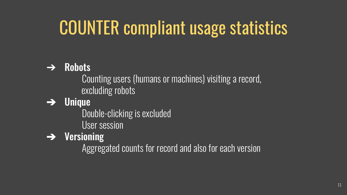## COUNTER compliant usage statistics

#### $\rightarrow$  Robots

Counting users (humans or machines) visiting a record, excluding robots

➔ Unique

Double-clicking is excluded

User session

 $\rightarrow$  Versioning

Aggregated counts for record and also for each version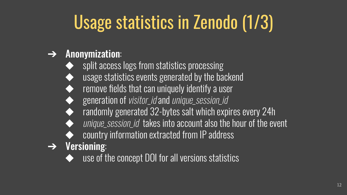## Usage statistics in Zenodo (1/3)

#### $\rightarrow$  Anonymization:

- split access logs from statistics processing
- usage statistics events generated by the backend
- remove fields that can uniquely identify a user
- generation of visitor\_id and unique\_session\_id
- randomly generated 32-bytes salt which expires every 24h
- unique\_session\_id\_takes into account also the hour of the event
- country information extracted from IP address
- $\rightarrow$  Versioning:
	- use of the concept DOI for all versions statistics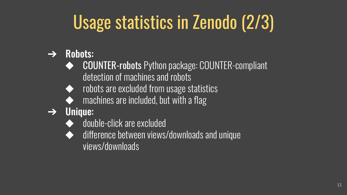## Usage statistics in Zenodo (2/3)

- $\rightarrow$  Robots:
	- **COUNTER-robots Python package: COUNTER-compliant** detection of machines and robots
	- robots are excluded from usage statistics
	- machines are included, but with a flag
- $\rightarrow$  Unique:
	- double-click are excluded
	- difference between views/downloads and unique views/downloads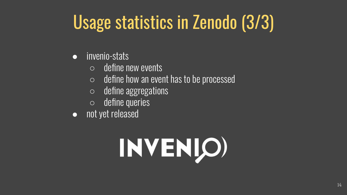## Usage statistics in Zenodo (3/3)

- invenio-stats
	- $\circ$  define new events
	- $\circ$  define how an event has to be processed
	- define aggregations
	- define queries
- not yet released

## INVENIO)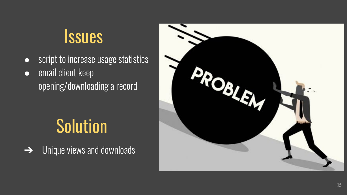## **Issues**

- script to increase usage statistics
- email client keep opening/downloading a record

## **Solution**

**→** Unique views and downloads

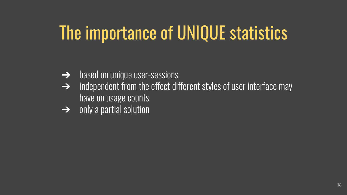## The importance of UNIQUE statistics

- **→** based on unique user-sessions
- $\rightarrow$  independent from the effect different styles of user interface may have on usage counts
- $\overline{\rightarrow}$  only a partial solution